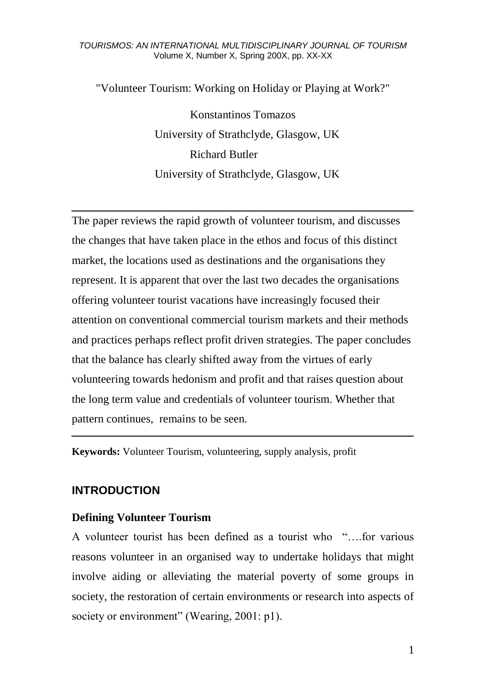### *TOURISMOS: AN INTERNATIONAL MULTIDISCIPLINARY JOURNAL OF TOURISM* Volume X, Number X, Spring 200X, pp. XX-XX

"Volunteer Tourism: Working on Holiday or Playing at Work?"

Konstantinos Tomazos University of Strathclyde, Glasgow, UK Richard Butler University of Strathclyde, Glasgow, UK

The paper reviews the rapid growth of volunteer tourism, and discusses the changes that have taken place in the ethos and focus of this distinct market, the locations used as destinations and the organisations they represent. It is apparent that over the last two decades the organisations offering volunteer tourist vacations have increasingly focused their attention on conventional commercial tourism markets and their methods and practices perhaps reflect profit driven strategies. The paper concludes that the balance has clearly shifted away from the virtues of early volunteering towards hedonism and profit and that raises question about the long term value and credentials of volunteer tourism. Whether that pattern continues, remains to be seen.

**Keywords:** Volunteer Tourism, volunteering, supply analysis, profit

## **INTRODUCTION**

## **Defining Volunteer Tourism**

A volunteer tourist has been defined as a tourist who "….for various reasons volunteer in an organised way to undertake holidays that might involve aiding or alleviating the material poverty of some groups in society, the restoration of certain environments or research into aspects of society or environment" (Wearing, 2001: p1).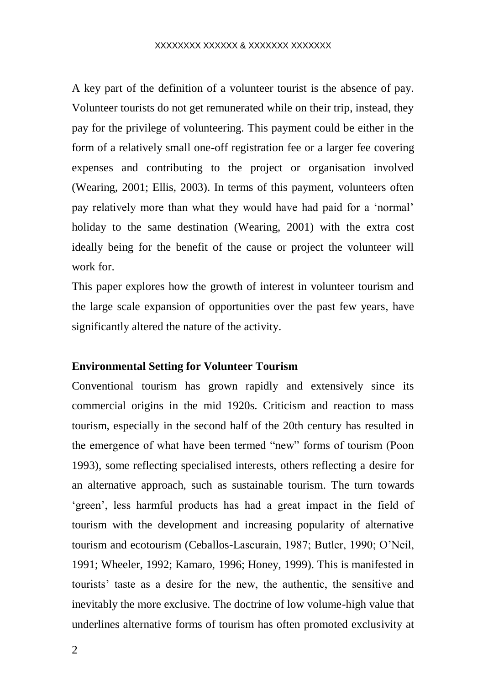A key part of the definition of a volunteer tourist is the absence of pay. Volunteer tourists do not get remunerated while on their trip, instead, they pay for the privilege of volunteering. This payment could be either in the form of a relatively small one-off registration fee or a larger fee covering expenses and contributing to the project or organisation involved (Wearing, 2001; Ellis, 2003). In terms of this payment, volunteers often pay relatively more than what they would have had paid for a "normal" holiday to the same destination (Wearing, 2001) with the extra cost ideally being for the benefit of the cause or project the volunteer will work for.

This paper explores how the growth of interest in volunteer tourism and the large scale expansion of opportunities over the past few years, have significantly altered the nature of the activity.

### **Environmental Setting for Volunteer Tourism**

Conventional tourism has grown rapidly and extensively since its commercial origins in the mid 1920s. Criticism and reaction to mass tourism, especially in the second half of the 20th century has resulted in the emergence of what have been termed "new" forms of tourism (Poon 1993), some reflecting specialised interests, others reflecting a desire for an alternative approach, such as sustainable tourism. The turn towards 'green', less harmful products has had a great impact in the field of tourism with the development and increasing popularity of alternative tourism and ecotourism (Ceballos-Lascurain, 1987; Butler, 1990; O"Neil, 1991; Wheeler, 1992; Kamaro, 1996; Honey, 1999). This is manifested in tourists" taste as a desire for the new, the authentic, the sensitive and inevitably the more exclusive. The doctrine of low volume-high value that underlines alternative forms of tourism has often promoted exclusivity at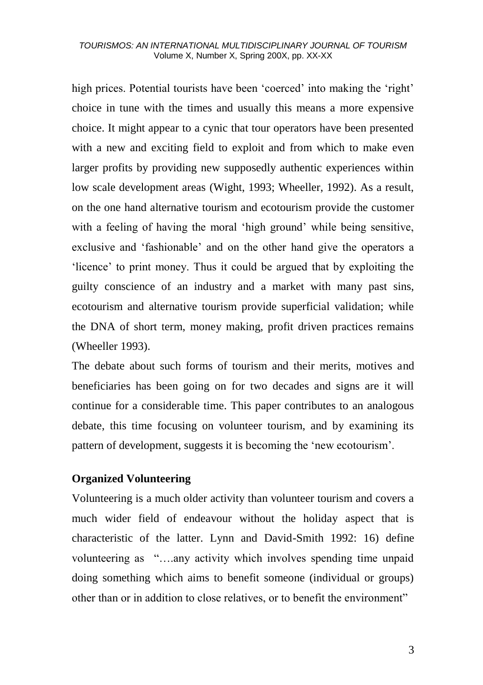high prices. Potential tourists have been 'coerced' into making the 'right' choice in tune with the times and usually this means a more expensive choice. It might appear to a cynic that tour operators have been presented with a new and exciting field to exploit and from which to make even larger profits by providing new supposedly authentic experiences within low scale development areas (Wight, 1993; Wheeller, 1992). As a result, on the one hand alternative tourism and ecotourism provide the customer with a feeling of having the moral 'high ground' while being sensitive, exclusive and "fashionable" and on the other hand give the operators a "licence" to print money. Thus it could be argued that by exploiting the guilty conscience of an industry and a market with many past sins, ecotourism and alternative tourism provide superficial validation; while the DNA of short term, money making, profit driven practices remains (Wheeller 1993).

The debate about such forms of tourism and their merits, motives and beneficiaries has been going on for two decades and signs are it will continue for a considerable time. This paper contributes to an analogous debate, this time focusing on volunteer tourism, and by examining its pattern of development, suggests it is becoming the "new ecotourism".

## **Organized Volunteering**

Volunteering is a much older activity than volunteer tourism and covers a much wider field of endeavour without the holiday aspect that is characteristic of the latter. Lynn and David-Smith 1992: 16) define volunteering as "….any activity which involves spending time unpaid doing something which aims to benefit someone (individual or groups) other than or in addition to close relatives, or to benefit the environment"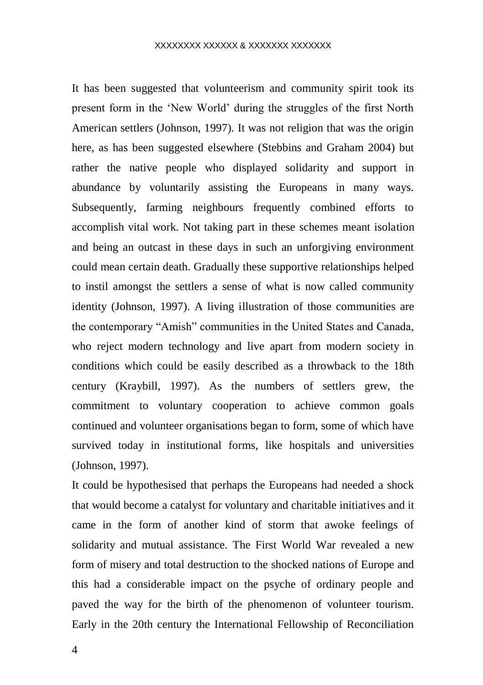It has been suggested that volunteerism and community spirit took its present form in the "New World" during the struggles of the first North American settlers (Johnson, 1997). It was not religion that was the origin here, as has been suggested elsewhere (Stebbins and Graham 2004) but rather the native people who displayed solidarity and support in abundance by voluntarily assisting the Europeans in many ways. Subsequently, farming neighbours frequently combined efforts to accomplish vital work. Not taking part in these schemes meant isolation and being an outcast in these days in such an unforgiving environment could mean certain death. Gradually these supportive relationships helped to instil amongst the settlers a sense of what is now called community identity (Johnson, 1997). A living illustration of those communities are the contemporary "Amish" communities in the United States and Canada, who reject modern technology and live apart from modern society in conditions which could be easily described as a throwback to the 18th century (Kraybill, 1997). As the numbers of settlers grew, the commitment to voluntary cooperation to achieve common goals continued and volunteer organisations began to form, some of which have survived today in institutional forms, like hospitals and universities (Johnson, 1997).

It could be hypothesised that perhaps the Europeans had needed a shock that would become a catalyst for voluntary and charitable initiatives and it came in the form of another kind of storm that awoke feelings of solidarity and mutual assistance. The First World War revealed a new form of misery and total destruction to the shocked nations of Europe and this had a considerable impact on the psyche of ordinary people and paved the way for the birth of the phenomenon of volunteer tourism. Early in the 20th century the International Fellowship of Reconciliation

4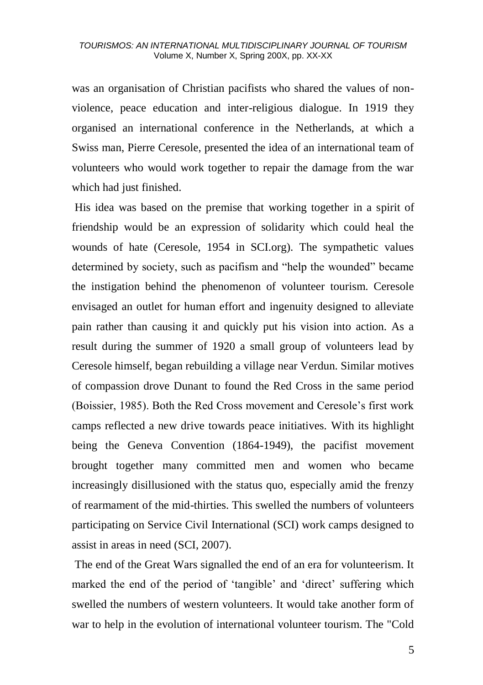was an organisation of Christian pacifists who shared the values of nonviolence, peace education and inter-religious dialogue. In 1919 they organised an international conference in the Netherlands, at which a Swiss man, Pierre Ceresole, presented the idea of an international team of volunteers who would work together to repair the damage from the war which had just finished.

His idea was based on the premise that working together in a spirit of friendship would be an expression of solidarity which could heal the wounds of hate (Ceresole, 1954 in SCI.org). The sympathetic values determined by society, such as pacifism and "help the wounded" became the instigation behind the phenomenon of volunteer tourism. Ceresole envisaged an outlet for human effort and ingenuity designed to alleviate pain rather than causing it and quickly put his vision into action. As a result during the summer of 1920 a small group of volunteers lead by Ceresole himself, began rebuilding a village near Verdun. Similar motives of compassion drove Dunant to found the Red Cross in the same period (Boissier, 1985). Both the Red Cross movement and Ceresole"s first work camps reflected a new drive towards peace initiatives. With its highlight being the Geneva Convention (1864-1949), the pacifist movement brought together many committed men and women who became increasingly disillusioned with the status quo, especially amid the frenzy of rearmament of the mid-thirties. This swelled the numbers of volunteers participating on Service Civil International (SCI) work camps designed to assist in areas in need (SCI, 2007).

The end of the Great Wars signalled the end of an era for volunteerism. It marked the end of the period of 'tangible' and 'direct' suffering which swelled the numbers of western volunteers. It would take another form of war to help in the evolution of international volunteer tourism. The "Cold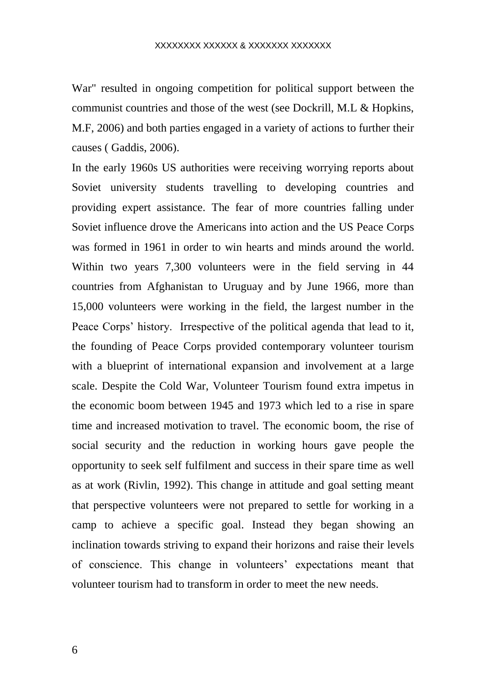War" resulted in ongoing competition for political support between the communist countries and those of the west (see Dockrill, M.L & Hopkins, M.F, 2006) and both parties engaged in a variety of actions to further their causes ( Gaddis, 2006).

In the early 1960s US authorities were receiving worrying reports about Soviet university students travelling to developing countries and providing expert assistance. The fear of more countries falling under Soviet influence drove the Americans into action and the US Peace Corps was formed in 1961 in order to win hearts and minds around the world. Within two years 7,300 volunteers were in the field serving in 44 countries from Afghanistan to Uruguay and by June 1966, more than 15,000 volunteers were working in the field, the largest number in the Peace Corps' history. Irrespective of the political agenda that lead to it, the founding of Peace Corps provided contemporary volunteer tourism with a blueprint of international expansion and involvement at a large scale. Despite the Cold War, Volunteer Tourism found extra impetus in the economic boom between 1945 and 1973 which led to a rise in spare time and increased motivation to travel. The economic boom, the rise of social security and the reduction in working hours gave people the opportunity to seek self fulfilment and success in their spare time as well as at work (Rivlin, 1992). This change in attitude and goal setting meant that perspective volunteers were not prepared to settle for working in a camp to achieve a specific goal. Instead they began showing an inclination towards striving to expand their horizons and raise their levels of conscience. This change in volunteers" expectations meant that volunteer tourism had to transform in order to meet the new needs.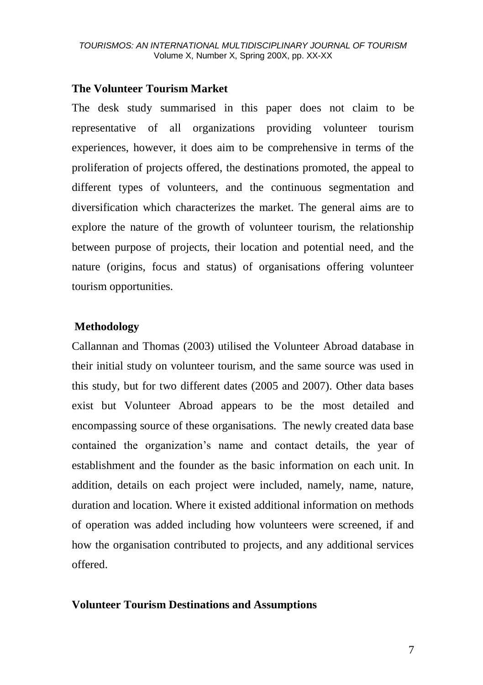### **The Volunteer Tourism Market**

The desk study summarised in this paper does not claim to be representative of all organizations providing volunteer tourism experiences, however, it does aim to be comprehensive in terms of the proliferation of projects offered, the destinations promoted, the appeal to different types of volunteers, and the continuous segmentation and diversification which characterizes the market. The general aims are to explore the nature of the growth of volunteer tourism, the relationship between purpose of projects, their location and potential need, and the nature (origins, focus and status) of organisations offering volunteer tourism opportunities.

## **Methodology**

Callannan and Thomas (2003) utilised the Volunteer Abroad database in their initial study on volunteer tourism, and the same source was used in this study, but for two different dates (2005 and 2007). Other data bases exist but Volunteer Abroad appears to be the most detailed and encompassing source of these organisations. The newly created data base contained the organization"s name and contact details, the year of establishment and the founder as the basic information on each unit. In addition, details on each project were included, namely, name, nature, duration and location. Where it existed additional information on methods of operation was added including how volunteers were screened, if and how the organisation contributed to projects, and any additional services offered.

## **Volunteer Tourism Destinations and Assumptions**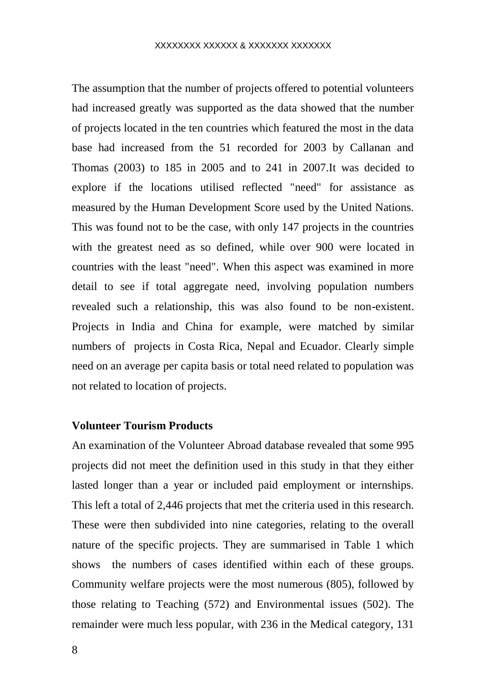The assumption that the number of projects offered to potential volunteers had increased greatly was supported as the data showed that the number of projects located in the ten countries which featured the most in the data base had increased from the 51 recorded for 2003 by Callanan and Thomas (2003) to 185 in 2005 and to 241 in 2007.It was decided to explore if the locations utilised reflected "need" for assistance as measured by the Human Development Score used by the United Nations. This was found not to be the case, with only 147 projects in the countries with the greatest need as so defined, while over 900 were located in countries with the least "need". When this aspect was examined in more detail to see if total aggregate need, involving population numbers revealed such a relationship, this was also found to be non-existent. Projects in India and China for example, were matched by similar numbers of projects in Costa Rica, Nepal and Ecuador. Clearly simple need on an average per capita basis or total need related to population was not related to location of projects.

### **Volunteer Tourism Products**

An examination of the Volunteer Abroad database revealed that some 995 projects did not meet the definition used in this study in that they either lasted longer than a year or included paid employment or internships. This left a total of 2,446 projects that met the criteria used in this research. These were then subdivided into nine categories, relating to the overall nature of the specific projects. They are summarised in Table 1 which shows the numbers of cases identified within each of these groups. Community welfare projects were the most numerous (805), followed by those relating to Teaching (572) and Environmental issues (502). The remainder were much less popular, with 236 in the Medical category, 131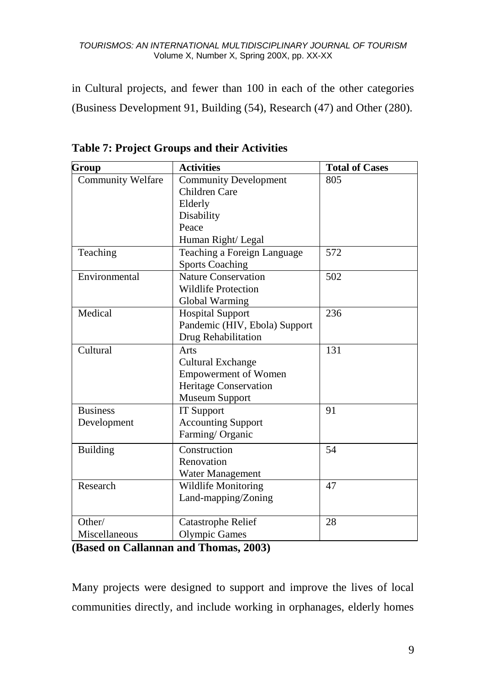in Cultural projects, and fewer than 100 in each of the other categories (Business Development 91, Building (54), Research (47) and Other (280).

| Group             | <b>Activities</b>             | <b>Total of Cases</b> |
|-------------------|-------------------------------|-----------------------|
| Community Welfare | <b>Community Development</b>  | 805                   |
|                   | Children Care                 |                       |
|                   | Elderly                       |                       |
|                   | Disability                    |                       |
|                   | Peace                         |                       |
|                   | Human Right/Legal             |                       |
| Teaching          | Teaching a Foreign Language   | 572                   |
|                   | <b>Sports Coaching</b>        |                       |
| Environmental     | <b>Nature Conservation</b>    | 502                   |
|                   | <b>Wildlife Protection</b>    |                       |
|                   | Global Warming                |                       |
| Medical           | <b>Hospital Support</b>       | 236                   |
|                   | Pandemic (HIV, Ebola) Support |                       |
|                   | Drug Rehabilitation           |                       |
| Cultural          | Arts                          | 131                   |
|                   | Cultural Exchange             |                       |
|                   | <b>Empowerment of Women</b>   |                       |
|                   | Heritage Conservation         |                       |
|                   | Museum Support                |                       |
| <b>Business</b>   | <b>IT Support</b>             | 91                    |
| Development       | <b>Accounting Support</b>     |                       |
|                   | Farming/Organic               |                       |
| Building          | Construction                  | 54                    |
|                   | Renovation                    |                       |
|                   | Water Management              |                       |
| Research          | Wildlife Monitoring           | 47                    |
|                   | Land-mapping/Zoning           |                       |
|                   |                               |                       |
| Other/            | Catastrophe Relief            | 28                    |
| Miscellaneous     | <b>Olympic Games</b>          |                       |

**Table 7: Project Groups and their Activities**

**(Based on Callannan and Thomas, 2003)**

Many projects were designed to support and improve the lives of local communities directly, and include working in orphanages, elderly homes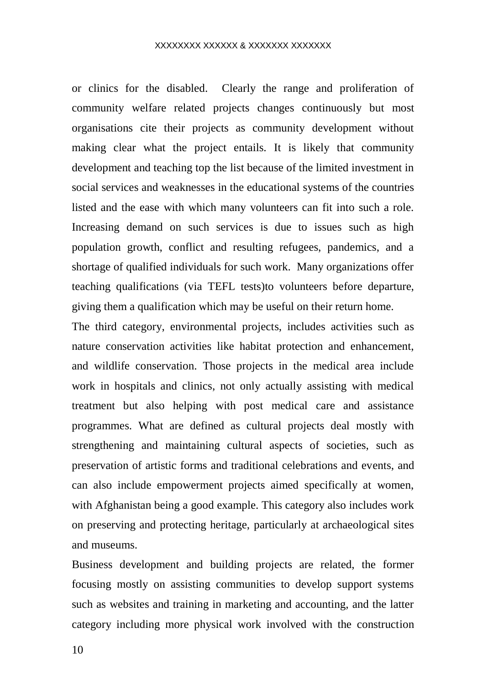#### XXXXXXXX XXXXXX & XXXXXXX XXXXXXX

or clinics for the disabled. Clearly the range and proliferation of community welfare related projects changes continuously but most organisations cite their projects as community development without making clear what the project entails. It is likely that community development and teaching top the list because of the limited investment in social services and weaknesses in the educational systems of the countries listed and the ease with which many volunteers can fit into such a role. Increasing demand on such services is due to issues such as high population growth, conflict and resulting refugees, pandemics, and a shortage of qualified individuals for such work. Many organizations offer teaching qualifications (via TEFL tests)to volunteers before departure, giving them a qualification which may be useful on their return home.

The third category, environmental projects, includes activities such as nature conservation activities like habitat protection and enhancement, and wildlife conservation. Those projects in the medical area include work in hospitals and clinics, not only actually assisting with medical treatment but also helping with post medical care and assistance programmes. What are defined as cultural projects deal mostly with strengthening and maintaining cultural aspects of societies, such as preservation of artistic forms and traditional celebrations and events, and can also include empowerment projects aimed specifically at women, with Afghanistan being a good example. This category also includes work on preserving and protecting heritage, particularly at archaeological sites and museums.

Business development and building projects are related, the former focusing mostly on assisting communities to develop support systems such as websites and training in marketing and accounting, and the latter category including more physical work involved with the construction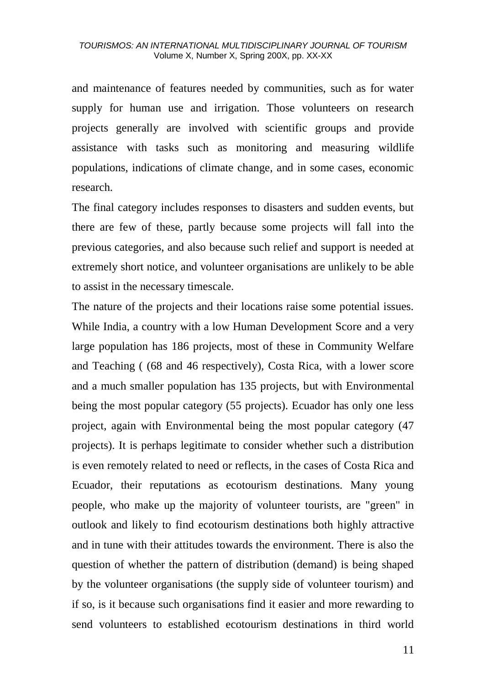and maintenance of features needed by communities, such as for water supply for human use and irrigation. Those volunteers on research projects generally are involved with scientific groups and provide assistance with tasks such as monitoring and measuring wildlife populations, indications of climate change, and in some cases, economic research.

The final category includes responses to disasters and sudden events, but there are few of these, partly because some projects will fall into the previous categories, and also because such relief and support is needed at extremely short notice, and volunteer organisations are unlikely to be able to assist in the necessary timescale.

The nature of the projects and their locations raise some potential issues. While India, a country with a low Human Development Score and a very large population has 186 projects, most of these in Community Welfare and Teaching ( (68 and 46 respectively), Costa Rica, with a lower score and a much smaller population has 135 projects, but with Environmental being the most popular category (55 projects). Ecuador has only one less project, again with Environmental being the most popular category (47 projects). It is perhaps legitimate to consider whether such a distribution is even remotely related to need or reflects, in the cases of Costa Rica and Ecuador, their reputations as ecotourism destinations. Many young people, who make up the majority of volunteer tourists, are "green" in outlook and likely to find ecotourism destinations both highly attractive and in tune with their attitudes towards the environment. There is also the question of whether the pattern of distribution (demand) is being shaped by the volunteer organisations (the supply side of volunteer tourism) and if so, is it because such organisations find it easier and more rewarding to send volunteers to established ecotourism destinations in third world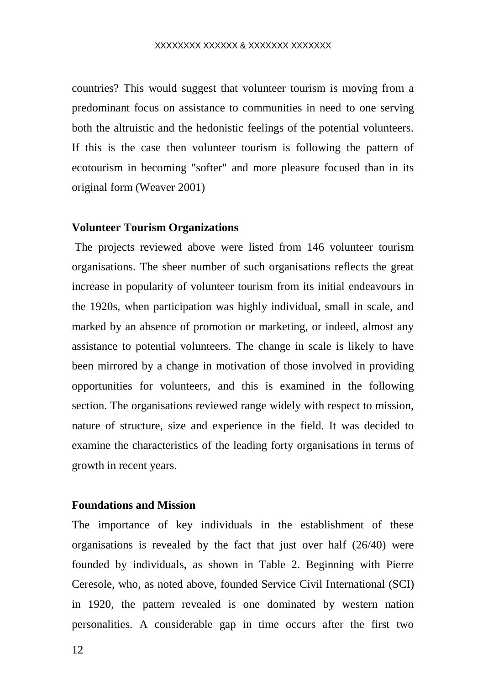#### XXXXXXXX XXXXXX & XXXXXXX XXXXXXX

countries? This would suggest that volunteer tourism is moving from a predominant focus on assistance to communities in need to one serving both the altruistic and the hedonistic feelings of the potential volunteers. If this is the case then volunteer tourism is following the pattern of ecotourism in becoming "softer" and more pleasure focused than in its original form (Weaver 2001)

#### **Volunteer Tourism Organizations**

The projects reviewed above were listed from 146 volunteer tourism organisations. The sheer number of such organisations reflects the great increase in popularity of volunteer tourism from its initial endeavours in the 1920s, when participation was highly individual, small in scale, and marked by an absence of promotion or marketing, or indeed, almost any assistance to potential volunteers. The change in scale is likely to have been mirrored by a change in motivation of those involved in providing opportunities for volunteers, and this is examined in the following section. The organisations reviewed range widely with respect to mission, nature of structure, size and experience in the field. It was decided to examine the characteristics of the leading forty organisations in terms of growth in recent years.

### **Foundations and Mission**

The importance of key individuals in the establishment of these organisations is revealed by the fact that just over half (26/40) were founded by individuals, as shown in Table 2. Beginning with Pierre Ceresole, who, as noted above, founded Service Civil International (SCI) in 1920, the pattern revealed is one dominated by western nation personalities. A considerable gap in time occurs after the first two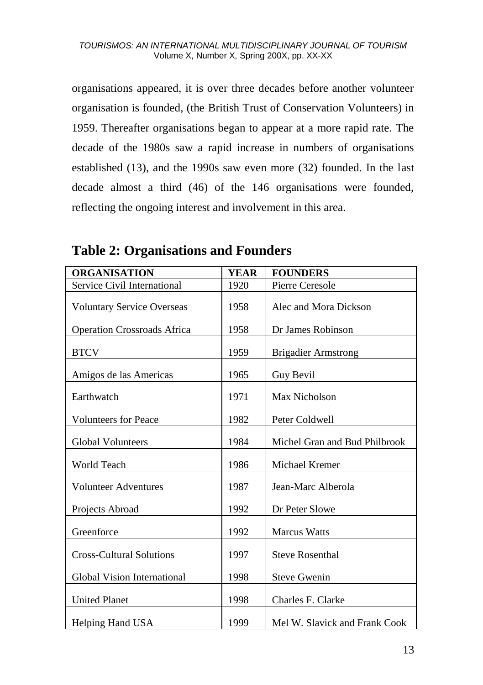organisations appeared, it is over three decades before another volunteer organisation is founded, (the British Trust of Conservation Volunteers) in 1959. Thereafter organisations began to appear at a more rapid rate. The decade of the 1980s saw a rapid increase in numbers of organisations established (13), and the 1990s saw even more (32) founded. In the last decade almost a third (46) of the 146 organisations were founded, reflecting the ongoing interest and involvement in this area.

| <b>ORGANISATION</b>                | <b>YEAR</b> | <b>FOUNDERS</b>               |
|------------------------------------|-------------|-------------------------------|
| Service Civil International        | 1920        | Pierre Ceresole               |
| <b>Voluntary Service Overseas</b>  | 1958        | Alec and Mora Dickson         |
| <b>Operation Crossroads Africa</b> | 1958        | Dr James Robinson             |
| <b>BTCV</b>                        | 1959        | <b>Brigadier Armstrong</b>    |
| Amigos de las Americas             | 1965        | Guy Bevil                     |
| Earthwatch                         | 1971        | Max Nicholson                 |
| <b>Volunteers for Peace</b>        | 1982        | Peter Coldwell                |
| <b>Global Volunteers</b>           | 1984        | Michel Gran and Bud Philbrook |
| World Teach                        | 1986        | Michael Kremer                |
| <b>Volunteer Adventures</b>        | 1987        | Jean-Marc Alberola            |
| Projects Abroad                    | 1992        | Dr Peter Slowe                |
| Greenforce                         | 1992        | <b>Marcus Watts</b>           |
| <b>Cross-Cultural Solutions</b>    | 1997        | <b>Steve Rosenthal</b>        |
| Global Vision International        | 1998        | <b>Steve Gwenin</b>           |
| <b>United Planet</b>               | 1998        | Charles F. Clarke             |
| Helping Hand USA                   | 1999        | Mel W. Slavick and Frank Cook |

**Table 2: Organisations and Founders**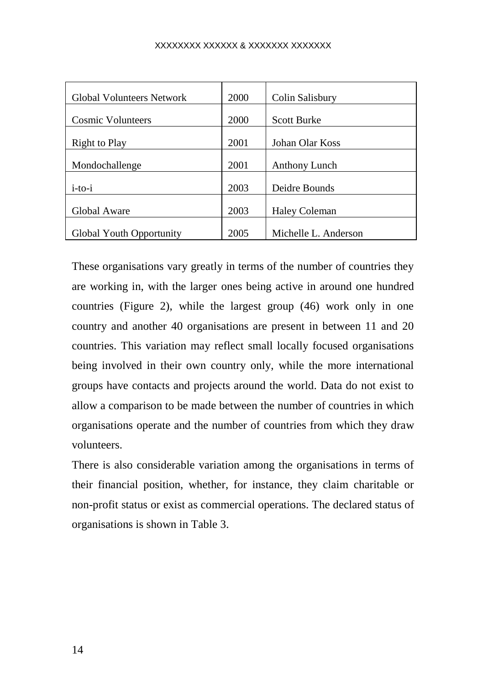| <b>Global Volunteers Network</b> | 2000 | Colin Salisbury      |
|----------------------------------|------|----------------------|
| <b>Cosmic Volunteers</b>         | 2000 | <b>Scott Burke</b>   |
| Right to Play                    | 2001 | Johan Olar Koss      |
| Mondochallenge                   | 2001 | Anthony Lunch        |
| $i$ -to- $i$                     | 2003 | Deidre Bounds        |
| Global Aware                     | 2003 | <b>Haley Coleman</b> |
| Global Youth Opportunity         | 2005 | Michelle L. Anderson |

These organisations vary greatly in terms of the number of countries they are working in, with the larger ones being active in around one hundred countries (Figure 2), while the largest group (46) work only in one country and another 40 organisations are present in between 11 and 20 countries. This variation may reflect small locally focused organisations being involved in their own country only, while the more international groups have contacts and projects around the world. Data do not exist to allow a comparison to be made between the number of countries in which organisations operate and the number of countries from which they draw volunteers.

There is also considerable variation among the organisations in terms of their financial position, whether, for instance, they claim charitable or non-profit status or exist as commercial operations. The declared status of organisations is shown in Table 3.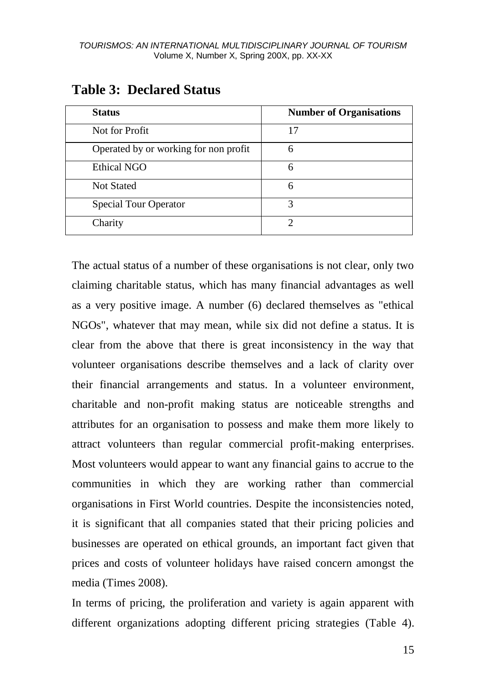| <b>Status</b>                         | <b>Number of Organisations</b> |
|---------------------------------------|--------------------------------|
| Not for Profit                        |                                |
| Operated by or working for non profit | 6                              |
| <b>Ethical NGO</b>                    | 6                              |
| <b>Not Stated</b>                     | 6                              |
| <b>Special Tour Operator</b>          | 3                              |
| Charity                               | ി                              |

# **Table 3: Declared Status**

The actual status of a number of these organisations is not clear, only two claiming charitable status, which has many financial advantages as well as a very positive image. A number (6) declared themselves as "ethical NGOs", whatever that may mean, while six did not define a status. It is clear from the above that there is great inconsistency in the way that volunteer organisations describe themselves and a lack of clarity over their financial arrangements and status. In a volunteer environment, charitable and non-profit making status are noticeable strengths and attributes for an organisation to possess and make them more likely to attract volunteers than regular commercial profit-making enterprises. Most volunteers would appear to want any financial gains to accrue to the communities in which they are working rather than commercial organisations in First World countries. Despite the inconsistencies noted, it is significant that all companies stated that their pricing policies and businesses are operated on ethical grounds, an important fact given that prices and costs of volunteer holidays have raised concern amongst the media (Times 2008).

In terms of pricing, the proliferation and variety is again apparent with different organizations adopting different pricing strategies (Table 4).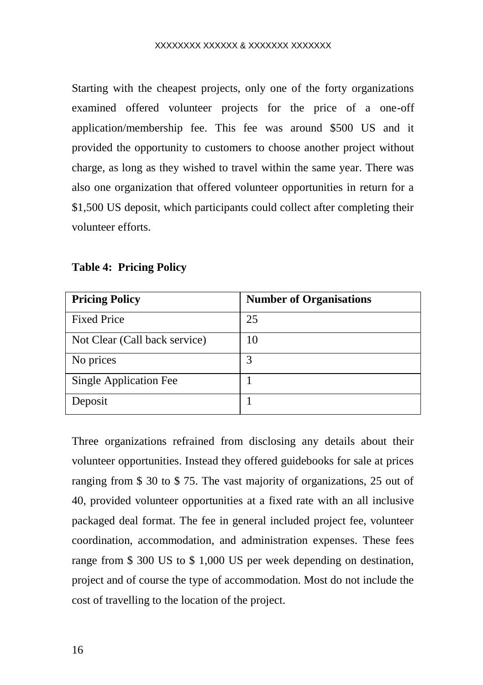Starting with the cheapest projects, only one of the forty organizations examined offered volunteer projects for the price of a one-off application/membership fee. This fee was around \$500 US and it provided the opportunity to customers to choose another project without charge, as long as they wished to travel within the same year. There was also one organization that offered volunteer opportunities in return for a \$1,500 US deposit, which participants could collect after completing their volunteer efforts.

| <b>Table 4: Pricing Policy</b> |  |  |
|--------------------------------|--|--|
|--------------------------------|--|--|

| <b>Pricing Policy</b>         | <b>Number of Organisations</b> |
|-------------------------------|--------------------------------|
| <b>Fixed Price</b>            | 25                             |
| Not Clear (Call back service) | 10                             |
| No prices                     | 3                              |
| Single Application Fee        |                                |
| Deposit                       |                                |

Three organizations refrained from disclosing any details about their volunteer opportunities. Instead they offered guidebooks for sale at prices ranging from \$ 30 to \$ 75. The vast majority of organizations, 25 out of 40, provided volunteer opportunities at a fixed rate with an all inclusive packaged deal format. The fee in general included project fee, volunteer coordination, accommodation, and administration expenses. These fees range from \$ 300 US to \$ 1,000 US per week depending on destination, project and of course the type of accommodation. Most do not include the cost of travelling to the location of the project.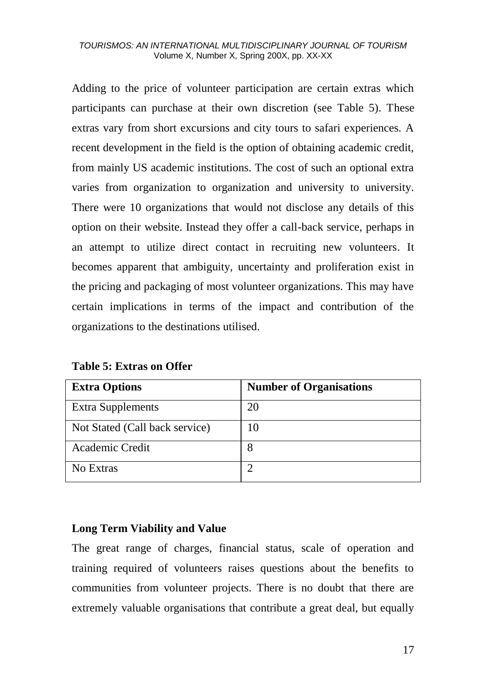Adding to the price of volunteer participation are certain extras which participants can purchase at their own discretion (see Table 5). These extras vary from short excursions and city tours to safari experiences. A recent development in the field is the option of obtaining academic credit, from mainly US academic institutions. The cost of such an optional extra varies from organization to organization and university to university. There were 10 organizations that would not disclose any details of this option on their website. Instead they offer a call-back service, perhaps in an attempt to utilize direct contact in recruiting new volunteers. It becomes apparent that ambiguity, uncertainty and proliferation exist in the pricing and packaging of most volunteer organizations. This may have certain implications in terms of the impact and contribution of the organizations to the destinations utilised.

| <b>Extra Options</b>           | <b>Number of Organisations</b> |
|--------------------------------|--------------------------------|
| Extra Supplements              | 20                             |
| Not Stated (Call back service) | 10                             |
| Academic Credit                | 8                              |
| No Extras                      |                                |

**Table 5: Extras on Offer** 

## **Long Term Viability and Value**

The great range of charges, financial status, scale of operation and training required of volunteers raises questions about the benefits to communities from volunteer projects. There is no doubt that there are extremely valuable organisations that contribute a great deal, but equally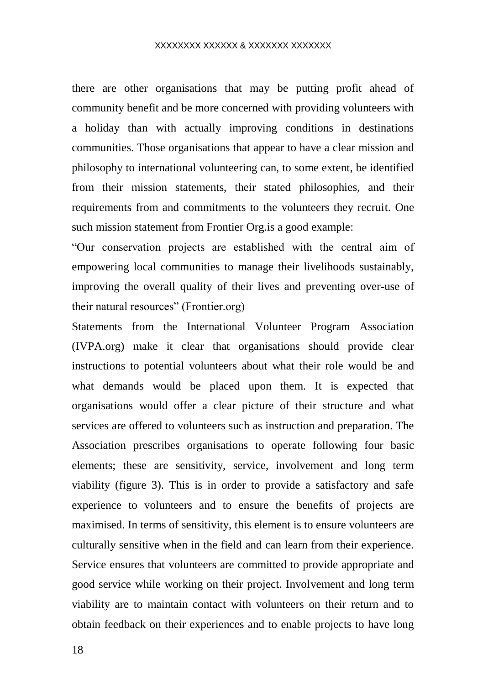there are other organisations that may be putting profit ahead of community benefit and be more concerned with providing volunteers with a holiday than with actually improving conditions in destinations communities. Those organisations that appear to have a clear mission and philosophy to international volunteering can, to some extent, be identified from their mission statements, their stated philosophies, and their requirements from and commitments to the volunteers they recruit. One such mission statement from Frontier Org.is a good example:

"Our conservation projects are established with the central aim of empowering local communities to manage their livelihoods sustainably, improving the overall quality of their lives and preventing over-use of their natural resources" (Frontier.org)

Statements from the International Volunteer Program Association (IVPA.org) make it clear that organisations should provide clear instructions to potential volunteers about what their role would be and what demands would be placed upon them. It is expected that organisations would offer a clear picture of their structure and what services are offered to volunteers such as instruction and preparation. The Association prescribes organisations to operate following four basic elements; these are sensitivity, service, involvement and long term viability (figure 3). This is in order to provide a satisfactory and safe experience to volunteers and to ensure the benefits of projects are maximised. In terms of sensitivity, this element is to ensure volunteers are culturally sensitive when in the field and can learn from their experience. Service ensures that volunteers are committed to provide appropriate and good service while working on their project. Involvement and long term viability are to maintain contact with volunteers on their return and to obtain feedback on their experiences and to enable projects to have long

18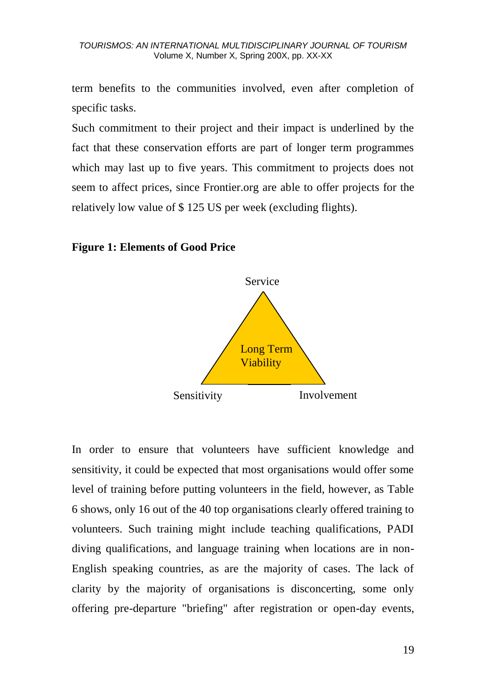term benefits to the communities involved, even after completion of specific tasks.

Such commitment to their project and their impact is underlined by the fact that these conservation efforts are part of longer term programmes which may last up to five years. This commitment to projects does not seem to affect prices, since Frontier.org are able to offer projects for the relatively low value of \$ 125 US per week (excluding flights).

## **Figure 1: Elements of Good Price**



In order to ensure that volunteers have sufficient knowledge and sensitivity, it could be expected that most organisations would offer some level of training before putting volunteers in the field, however, as Table 6 shows, only 16 out of the 40 top organisations clearly offered training to volunteers. Such training might include teaching qualifications, PADI diving qualifications, and language training when locations are in non-English speaking countries, as are the majority of cases. The lack of clarity by the majority of organisations is disconcerting, some only offering pre-departure "briefing" after registration or open-day events,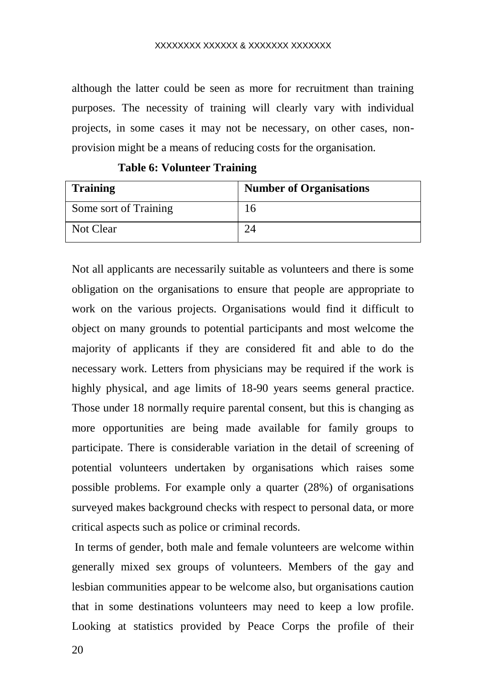although the latter could be seen as more for recruitment than training purposes. The necessity of training will clearly vary with individual projects, in some cases it may not be necessary, on other cases, nonprovision might be a means of reducing costs for the organisation.

| <b>Training</b>       | <b>Number of Organisations</b> |
|-----------------------|--------------------------------|
| Some sort of Training |                                |
| Not Clear             |                                |

 **Table 6: Volunteer Training** 

Not all applicants are necessarily suitable as volunteers and there is some obligation on the organisations to ensure that people are appropriate to work on the various projects. Organisations would find it difficult to object on many grounds to potential participants and most welcome the majority of applicants if they are considered fit and able to do the necessary work. Letters from physicians may be required if the work is highly physical, and age limits of 18-90 years seems general practice. Those under 18 normally require parental consent, but this is changing as more opportunities are being made available for family groups to participate. There is considerable variation in the detail of screening of potential volunteers undertaken by organisations which raises some possible problems. For example only a quarter (28%) of organisations surveyed makes background checks with respect to personal data, or more critical aspects such as police or criminal records.

In terms of gender, both male and female volunteers are welcome within generally mixed sex groups of volunteers. Members of the gay and lesbian communities appear to be welcome also, but organisations caution that in some destinations volunteers may need to keep a low profile. Looking at statistics provided by Peace Corps the profile of their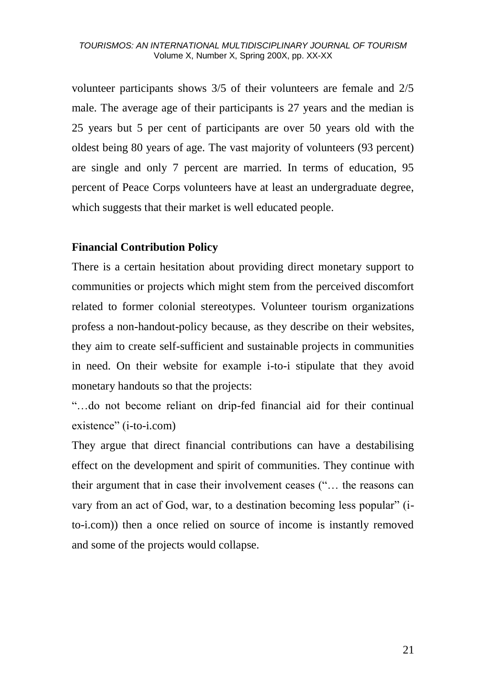volunteer participants shows 3/5 of their volunteers are female and 2/5 male. The average age of their participants is 27 years and the median is 25 years but 5 per cent of participants are over 50 years old with the oldest being 80 years of age. The vast majority of volunteers (93 percent) are single and only 7 percent are married. In terms of education, 95 percent of Peace Corps volunteers have at least an undergraduate degree, which suggests that their market is well educated people.

## **Financial Contribution Policy**

There is a certain hesitation about providing direct monetary support to communities or projects which might stem from the perceived discomfort related to former colonial stereotypes. Volunteer tourism organizations profess a non-handout-policy because, as they describe on their websites, they aim to create self-sufficient and sustainable projects in communities in need. On their website for example i-to-i stipulate that they avoid monetary handouts so that the projects:

"…do not become reliant on drip-fed financial aid for their continual existence" (i-to-i.com)

They argue that direct financial contributions can have a destabilising effect on the development and spirit of communities. They continue with their argument that in case their involvement ceases ("… the reasons can vary from an act of God, war, to a destination becoming less popular" (ito-i.com)) then a once relied on source of income is instantly removed and some of the projects would collapse.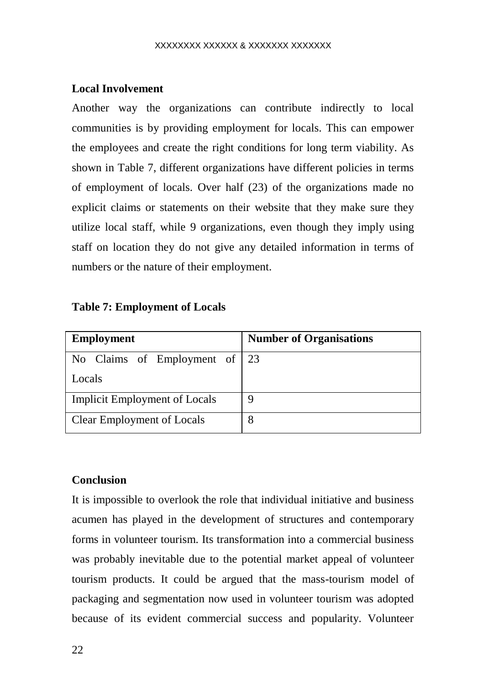### **Local Involvement**

Another way the organizations can contribute indirectly to local communities is by providing employment for locals. This can empower the employees and create the right conditions for long term viability. As shown in Table 7, different organizations have different policies in terms of employment of locals. Over half (23) of the organizations made no explicit claims or statements on their website that they make sure they utilize local staff, while 9 organizations, even though they imply using staff on location they do not give any detailed information in terms of numbers or the nature of their employment.

|  |  | <b>Table 7: Employment of Locals</b> |  |
|--|--|--------------------------------------|--|
|--|--|--------------------------------------|--|

| Employment                           | <b>Number of Organisations</b> |
|--------------------------------------|--------------------------------|
| No Claims of Employment of 23        |                                |
| Locals                               |                                |
| <b>Implicit Employment of Locals</b> | 9                              |
| Clear Employment of Locals           | 8                              |

## **Conclusion**

It is impossible to overlook the role that individual initiative and business acumen has played in the development of structures and contemporary forms in volunteer tourism. Its transformation into a commercial business was probably inevitable due to the potential market appeal of volunteer tourism products. It could be argued that the mass-tourism model of packaging and segmentation now used in volunteer tourism was adopted because of its evident commercial success and popularity. Volunteer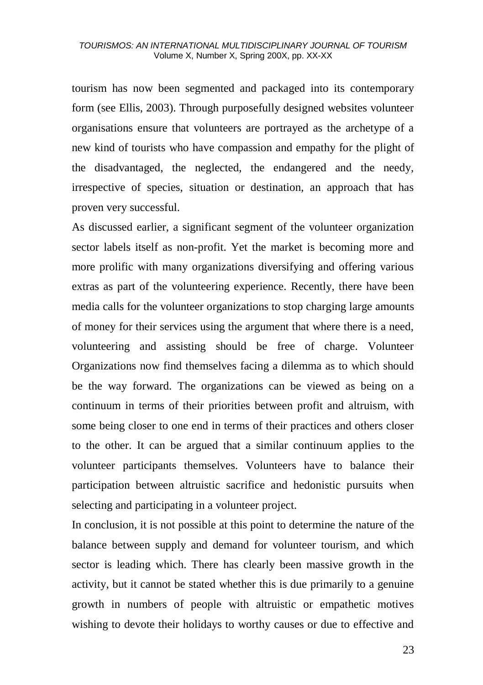tourism has now been segmented and packaged into its contemporary form (see Ellis, 2003). Through purposefully designed websites volunteer organisations ensure that volunteers are portrayed as the archetype of a new kind of tourists who have compassion and empathy for the plight of the disadvantaged, the neglected, the endangered and the needy, irrespective of species, situation or destination, an approach that has proven very successful.

As discussed earlier, a significant segment of the volunteer organization sector labels itself as non-profit. Yet the market is becoming more and more prolific with many organizations diversifying and offering various extras as part of the volunteering experience. Recently, there have been media calls for the volunteer organizations to stop charging large amounts of money for their services using the argument that where there is a need, volunteering and assisting should be free of charge. Volunteer Organizations now find themselves facing a dilemma as to which should be the way forward. The organizations can be viewed as being on a continuum in terms of their priorities between profit and altruism, with some being closer to one end in terms of their practices and others closer to the other. It can be argued that a similar continuum applies to the volunteer participants themselves. Volunteers have to balance their participation between altruistic sacrifice and hedonistic pursuits when selecting and participating in a volunteer project.

In conclusion, it is not possible at this point to determine the nature of the balance between supply and demand for volunteer tourism, and which sector is leading which. There has clearly been massive growth in the activity, but it cannot be stated whether this is due primarily to a genuine growth in numbers of people with altruistic or empathetic motives wishing to devote their holidays to worthy causes or due to effective and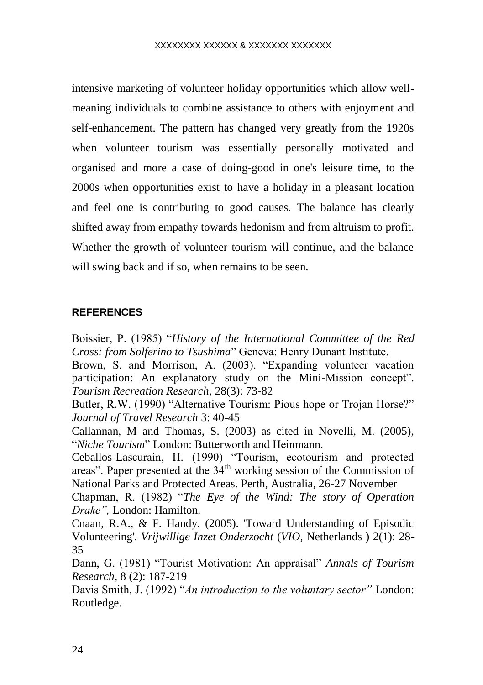intensive marketing of volunteer holiday opportunities which allow wellmeaning individuals to combine assistance to others with enjoyment and self-enhancement. The pattern has changed very greatly from the 1920s when volunteer tourism was essentially personally motivated and organised and more a case of doing-good in one's leisure time, to the 2000s when opportunities exist to have a holiday in a pleasant location and feel one is contributing to good causes. The balance has clearly shifted away from empathy towards hedonism and from altruism to profit. Whether the growth of volunteer tourism will continue, and the balance will swing back and if so, when remains to be seen.

### **REFERENCES**

Boissier, P. (1985) "*History of the International Committee of the Red Cross: from Solferino to Tsushima*" Geneva: Henry Dunant Institute.

Brown, S. and Morrison, A. (2003). "Expanding volunteer vacation participation: An explanatory study on the Mini-Mission concept". *Tourism Recreation Research*, 28(3): 73-82

Butler, R.W. (1990) "Alternative Tourism: Pious hope or Trojan Horse?" *Journal of Travel Research* 3: 40-45

Callannan, M and Thomas, S. (2003) as cited in Novelli, M. (2005), "*Niche Tourism*" London: Butterworth and Heinmann.

Ceballos-Lascurain, H. (1990) "Tourism, ecotourism and protected areas". Paper presented at the  $34<sup>th</sup>$  working session of the Commission of National Parks and Protected Areas. Perth, Australia, 26-27 November

Chapman, R. (1982) "*The Eye of the Wind: The story of Operation Drake",* London: Hamilton.

Cnaan, R.A., & F. Handy. (2005). 'Toward Understanding of Episodic Volunteering'. *Vrijwillige Inzet Onderzocht* (*VIO*, Netherlands ) 2(1): 28- 35

Dann, G. (1981) "Tourist Motivation: An appraisal" *Annals of Tourism Research*, 8 (2): 187-219

Davis Smith, J. (1992) "*An introduction to the voluntary sector"* London: Routledge.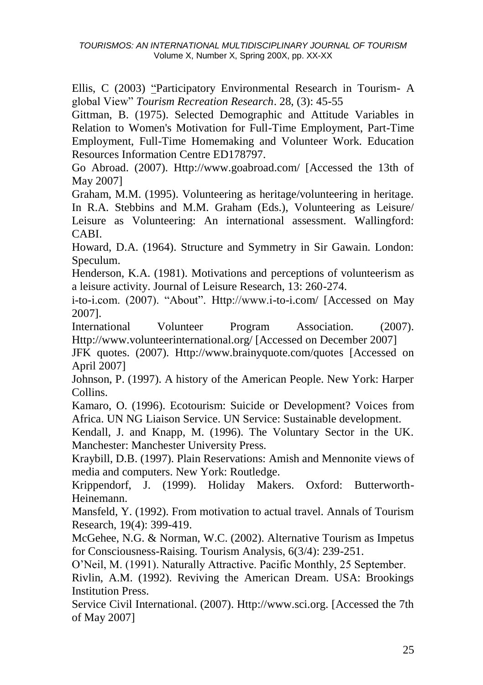Ellis, C (2003) "Participatory Environmental Research in Tourism- A global View" *Tourism Recreation Research*. 28, (3): 45-55

Gittman, B. (1975). Selected Demographic and Attitude Variables in Relation to Women's Motivation for Full-Time Employment, Part-Time Employment, Full-Time Homemaking and Volunteer Work. Education Resources Information Centre ED178797.

Go Abroad. (2007). Http://www.goabroad.com/ [Accessed the 13th of May 2007]

Graham, M.M. (1995). Volunteering as heritage/volunteering in heritage.

In R.A. Stebbins and M.M. Graham (Eds.), Volunteering as Leisure/ Leisure as Volunteering: An international assessment. Wallingford: CABI.

Howard, D.A. (1964). Structure and Symmetry in Sir Gawain. London: Speculum.

Henderson, K.A. (1981). Motivations and perceptions of volunteerism as a leisure activity. Journal of Leisure Research, 13: 260-274.

i-to-i.com. (2007). "About". Http://www.i-to-i.com/ [Accessed on May 2007].

International Volunteer Program Association. (2007). Http://www.volunteerinternational.org/ [Accessed on December 2007]

JFK quotes. (2007). Http://www.brainyquote.com/quotes [Accessed on April 2007]

Johnson, P. (1997). A history of the American People. New York: Harper Collins.

Kamaro, O. (1996). Ecotourism: Suicide or Development? Voices from Africa. UN NG Liaison Service. UN Service: Sustainable development.

Kendall, J. and Knapp, M. (1996). The Voluntary Sector in the UK. Manchester: Manchester University Press.

Kraybill, D.B. (1997). Plain Reservations: Amish and Mennonite views of media and computers. New York: Routledge.

Krippendorf, J. (1999). Holiday Makers. Oxford: Butterworth-Heinemann.

Mansfeld, Y. (1992). From motivation to actual travel. Annals of Tourism Research, 19(4): 399-419.

McGehee, N.G. & Norman, W.C. (2002). Alternative Tourism as Impetus for Consciousness-Raising. Tourism Analysis, 6(3/4): 239-251.

O"Neil, M. (1991). Naturally Attractive. Pacific Monthly, 25 September.

Rivlin, A.M. (1992). Reviving the American Dream. USA: Brookings Institution Press.

Service Civil International. (2007). Http://www.sci.org. [Accessed the 7th of May 2007]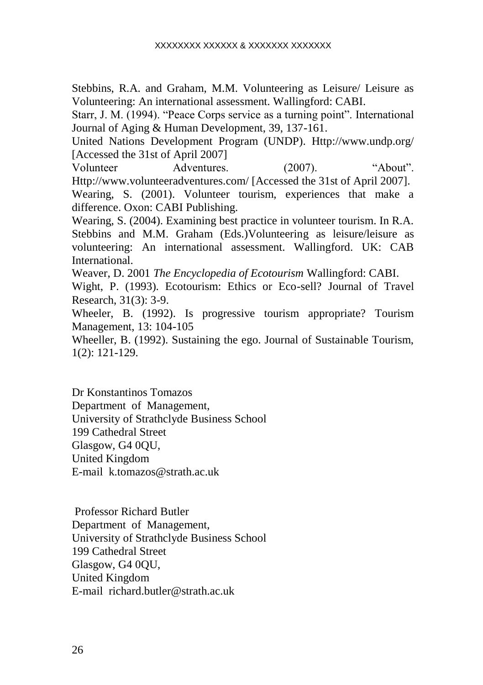Stebbins, R.A. and Graham, M.M. Volunteering as Leisure/ Leisure as Volunteering: An international assessment. Wallingford: CABI.

Starr, J. M. (1994). "Peace Corps service as a turning point". International Journal of Aging & Human Development, 39, 137-161.

United Nations Development Program (UNDP). Http://www.undp.org/ [Accessed the 31st of April 2007]

Volunteer Adventures. (2007). "About". Http://www.volunteeradventures.com/ [Accessed the 31st of April 2007]. Wearing, S. (2001). Volunteer tourism, experiences that make a difference. Oxon: CABI Publishing.

Wearing, S. (2004). Examining best practice in volunteer tourism. In R.A. Stebbins and M.M. Graham (Eds.)Volunteering as leisure/leisure as volunteering: An international assessment. Wallingford. UK: CAB International.

Weaver, D. 2001 *The Encyclopedia of Ecotourism* Wallingford: CABI.

Wight, P. (1993). Ecotourism: Ethics or Eco-sell? Journal of Travel Research, 31(3): 3-9.

Wheeler, B. (1992). Is progressive tourism appropriate? Tourism Management, 13: 104-105

Wheeller, B. (1992). Sustaining the ego. Journal of Sustainable Tourism, 1(2): 121-129.

Dr Konstantinos Tomazos Department of Management, University of Strathclyde Business School 199 Cathedral Street Glasgow, G4 0QU, United Kingdom E-mail k.tomazos@strath.ac.uk

Professor Richard Butler Department of Management, University of Strathclyde Business School 199 Cathedral Street Glasgow, G4 0QU, United Kingdom E-mail richard butler@strath.ac.uk.